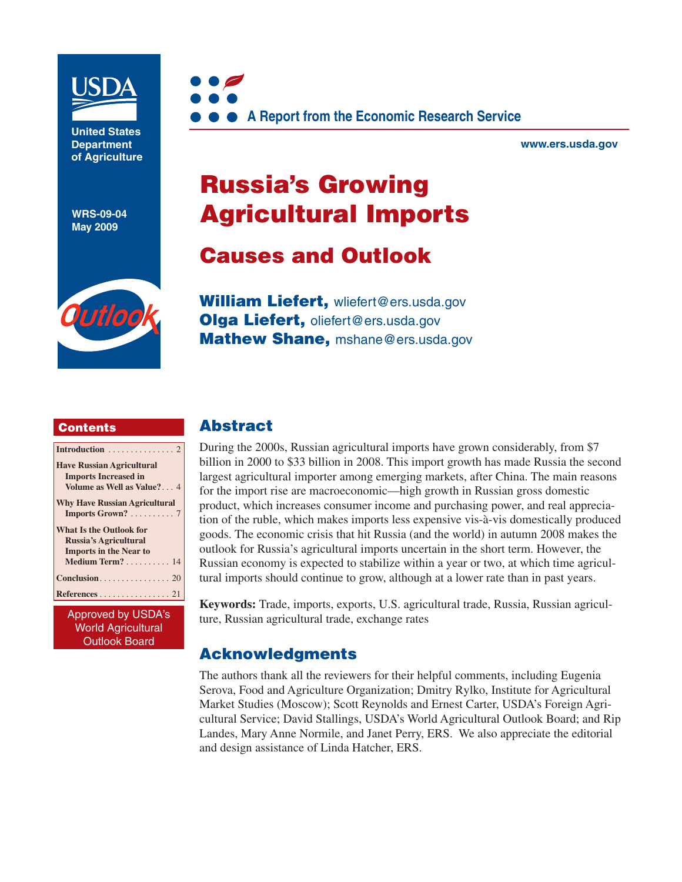

**United States Department of Agriculture** 

**WRS-09-04 May 2009**

Outloo



**www.ers.usda.gov** 

# **Russia's Growing Agricultural Imports**

# **Causes and Outlook**

**William Liefert,** [wliefert@ers.usda.gov](mailto:wliefert@ers.usda.gov) **Olga Liefert,** [oliefert@ers.usda.gov](mailto:oliefert@ers.usda.gov) **Mathew Shane,** [mshane@ers.usda.gov](mailto:mshane@ers.usda.gov)

#### **Contents**

| Introduction $\ldots \ldots \ldots \ldots 2$ |
|----------------------------------------------|
| <b>Have Russian Agricultural</b>             |
| <b>Imports Increased in</b>                  |
| Volume as Well as Value? 4                   |
| <b>Why Have Russian Agricultural</b>         |
| Imports Grown? 7                             |
| <b>What Is the Outlook for</b>               |
| Russia's Agricultural                        |
| <b>Imports in the Near to</b>                |
| Medium Term? 14                              |
|                                              |
| References 21                                |
| $A$ nneound by $HCDA$                        |
|                                              |

pproved by USD*I* World Agricultural Outlook Board

### **Abstract**

During the 2000s, Russian agricultural imports have grown considerably, from \$7 billion in 2000 to \$33 billion in 2008. This import growth has made Russia the second largest agricultural importer among emerging markets, after China. The main reasons for the import rise are macroeconomic—high growth in Russian gross domestic product, which increases consumer income and purchasing power, and real appreciation of the ruble, which makes imports less expensive vis-à-vis domestically produced goods. The economic crisis that hit Russia (and the world) in autumn 2008 makes the outlook for Russia's agricultural imports uncertain in the short term. However, the Russian economy is expected to stabilize within a year or two, at which time agricultural imports should continue to grow, although at a lower rate than in past years.

**Keywords:** Trade, imports, exports, U.S. agricultural trade, Russia, Russian agriculture, Russian agricultural trade, exchange rates

### **Acknowledgments**

The authors thank all the reviewers for their helpful comments, including Eugenia Serova, Food and Agriculture Organization; Dmitry Rylko, Institute for Agricultural Market Studies (Moscow); Scott Reynolds and Ernest Carter, USDA's Foreign Agricultural Service; David Stallings, USDA's World Agricultural Outlook Board; and Rip Landes, Mary Anne Normile, and Janet Perry, ERS. We also appreciate the editorial and design assistance of Linda Hatcher, ERS.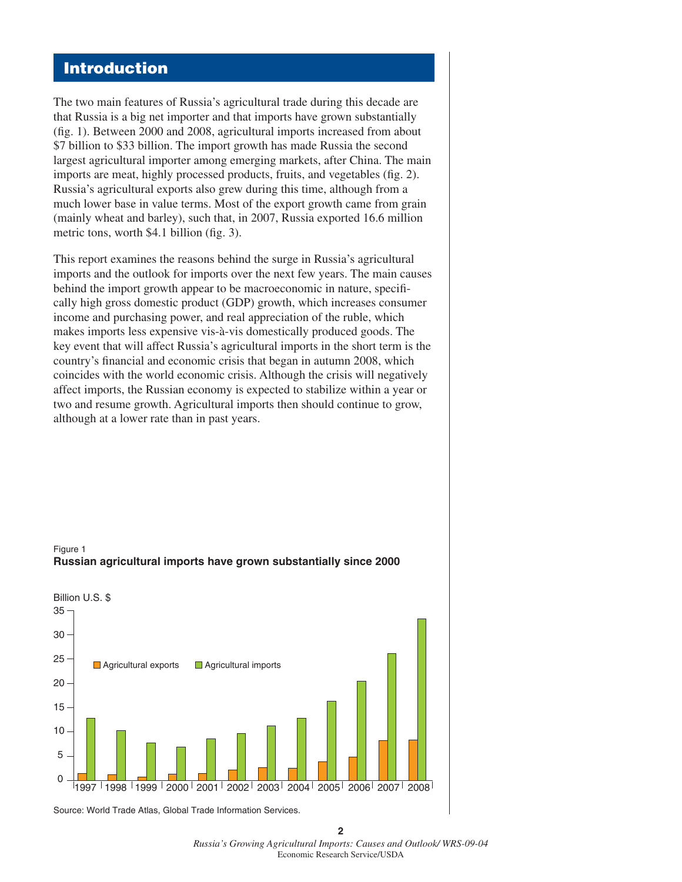# **Introduction**

The two main features of Russia's agricultural trade during this decade are that Russia is a big net importer and that imports have grown substantially  $(f_1, 1)$ . Between 2000 and 2008, agricultural imports increased from about \$7 billion to \$33 billion. The import growth has made Russia the second largest agricultural importer among emerging markets, after China. The main imports are meat, highly processed products, fruits, and vegetables (fig. 2). Russia's agricultural exports also grew during this time, although from a much lower base in value terms. Most of the export growth came from grain (mainly wheat and barley), such that, in 2007, Russia exported 16.6 million metric tons, worth  $$4.1$  billion (fig. 3).

This report examines the reasons behind the surge in Russia's agricultural imports and the outlook for imports over the next few years. The main causes behind the import growth appear to be macroeconomic in nature, specifically high gross domestic product (GDP) growth, which increases consumer income and purchasing power, and real appreciation of the ruble, which makes imports less expensive vis-à-vis domestically produced goods. The key event that will affect Russia's agricultural imports in the short term is the country's financial and economic crisis that began in autumn 2008, which coincides with the world economic crisis. Although the crisis will negatively affect imports, the Russian economy is expected to stabilize within a year or two and resume growth. Agricultural imports then should continue to grow, although at a lower rate than in past years.



Figure 1 **Russian agricultural imports have grown substantially since 2000**

Source: World Trade Atlas, Global Trade Information Services.

**2** *Russia's Growing Agricultural Imports: Causes and Outlook/ WRS-09-04* Economic Research Service/USDA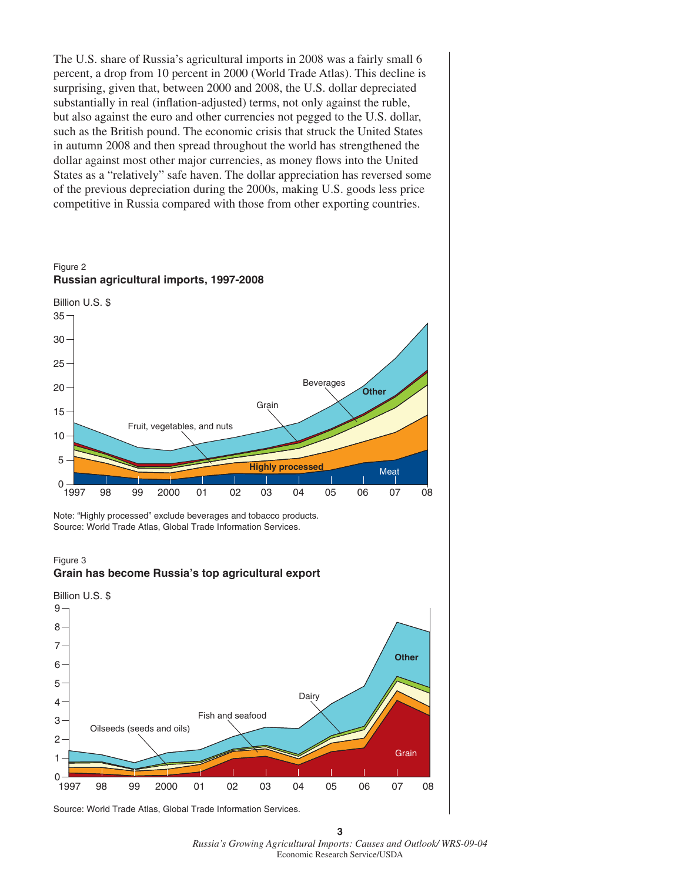The U.S. share of Russia's agricultural imports in 2008 was a fairly small 6 percent, a drop from 10 percent in 2000 (World Trade Atlas). This decline is surprising, given that, between 2000 and 2008, the U.S. dollar depreciated substantially in real (inflation-adjusted) terms, not only against the ruble, but also against the euro and other currencies not pegged to the U.S. dollar, such as the British pound. The economic crisis that struck the United States in autumn 2008 and then spread throughout the world has strengthened the dollar against most other major currencies, as money flows into the United States as a "relatively" safe haven. The dollar appreciation has reversed some of the previous depreciation during the 2000s, making U.S. goods less price competitive in Russia compared with those from other exporting countries.



Note: "Highly processed" exclude beverages and tobacco products. Source: World Trade Atlas, Global Trade Information Services.

#### Figure 3 **Grain has become Russia's top agricultural export**



Source: World Trade Atlas, Global Trade Information Services.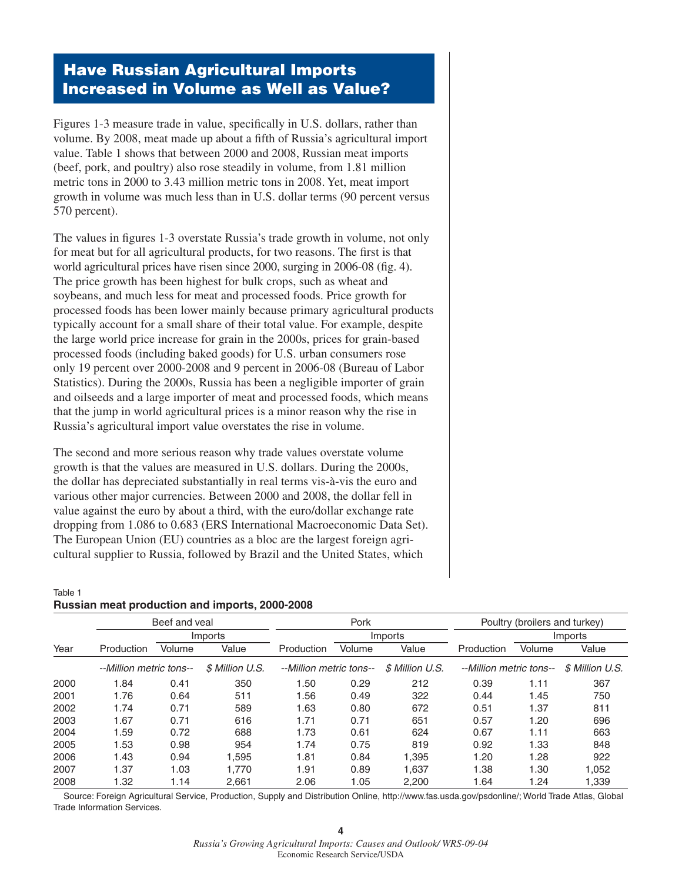# **Have Russian Agricultural Imports Increased in Volume as Well as Value?**

Figures 1-3 measure trade in value, specifically in U.S. dollars, rather than volume. By 2008, meat made up about a fifth of Russia's agricultural import value. Table 1 shows that between 2000 and 2008, Russian meat imports (beef, pork, and poultry) also rose steadily in volume, from 1.81 million metric tons in 2000 to 3.43 million metric tons in 2008. Yet, meat import growth in volume was much less than in U.S. dollar terms (90 percent versus 570 percent).

The values in figures 1-3 overstate Russia's trade growth in volume, not only for meat but for all agricultural products, for two reasons. The first is that world agricultural prices have risen since 2000, surging in 2006-08 (fig. 4). The price growth has been highest for bulk crops, such as wheat and soybeans, and much less for meat and processed foods. Price growth for processed foods has been lower mainly because primary agricultural products typically account for a small share of their total value. For example, despite the large world price increase for grain in the 2000s, prices for grain-based processed foods (including baked goods) for U.S. urban consumers rose only 19 percent over 2000-2008 and 9 percent in 2006-08 (Bureau of Labor Statistics). During the 2000s, Russia has been a negligible importer of grain and oilseeds and a large importer of meat and processed foods, which means that the jump in world agricultural prices is a minor reason why the rise in Russia's agricultural import value overstates the rise in volume.

The second and more serious reason why trade values overstate volume growth is that the values are measured in U.S. dollars. During the 2000s, the dollar has depreciated substantially in real terms vis-à-vis the euro and various other major currencies. Between 2000 and 2008, the dollar fell in value against the euro by about a third, with the euro/dollar exchange rate dropping from 1.086 to 0.683 (ERS International Macroeconomic Data Set). The European Union (EU) countries as a bloc are the largest foreign agricultural supplier to Russia, followed by Brazil and the United States, which

### Table 1 **Russian meat production and imports, 2000-2008**

|      |                         | Beef and yeal |                 |                         | Pork   |                 |                         | Poultry (broilers and turkey) |                 |  |
|------|-------------------------|---------------|-----------------|-------------------------|--------|-----------------|-------------------------|-------------------------------|-----------------|--|
|      |                         |               | Imports         |                         |        | Imports         |                         |                               | Imports         |  |
| Year | Production              | Volume        | Value           | Production              | Volume | Value           | Production              | Volume                        | Value           |  |
|      | --Million metric tons-- |               | \$ Million U.S. | --Million metric tons-- |        | \$ Million U.S. | --Million metric tons-- |                               | \$ Million U.S. |  |
| 2000 | 1.84                    | 0.41          | 350             | 1.50                    | 0.29   | 212             | 0.39                    | 1.11                          | 367             |  |
| 2001 | 1.76                    | 0.64          | 511             | 1.56                    | 0.49   | 322             | 0.44                    | 1.45                          | 750             |  |
| 2002 | 1.74                    | 0.71          | 589             | 1.63                    | 0.80   | 672             | 0.51                    | 1.37                          | 811             |  |
| 2003 | 1.67                    | 0.71          | 616             | 1.71                    | 0.71   | 651             | 0.57                    | 1.20                          | 696             |  |
| 2004 | 1.59                    | 0.72          | 688             | 1.73                    | 0.61   | 624             | 0.67                    | 1.11                          | 663             |  |
| 2005 | 1.53                    | 0.98          | 954             | 1.74                    | 0.75   | 819             | 0.92                    | 1.33                          | 848             |  |
| 2006 | 1.43                    | 0.94          | 1.595           | 1.81                    | 0.84   | 1.395           | 1.20                    | 1.28                          | 922             |  |
| 2007 | 1.37                    | 1.03          | 1.770           | 1.91                    | 0.89   | 1.637           | 1.38                    | 1.30                          | 1,052           |  |
| 2008 | 1.32                    | 1.14          | 2.661           | 2.06                    | 1.05   | 2.200           | 1.64                    | 1.24                          | 1.339           |  |

 Source: Foreign Agricultural Service, Production, Supply and Distribution Online, http://www.fas.usda.gov/psdonline/; World Trade Atlas, Global Trade Information Services.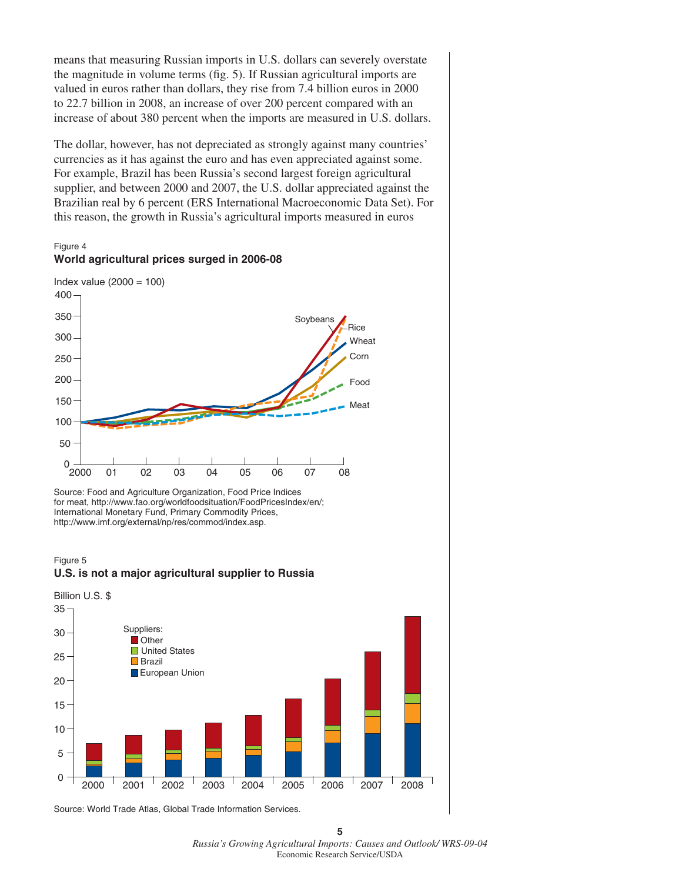means that measuring Russian imports in U.S. dollars can severely overstate the magnitude in volume terms (fig. 5). If Russian agricultural imports are valued in euros rather than dollars, they rise from 7.4 billion euros in 2000 to 22.7 billion in 2008, an increase of over 200 percent compared with an increase of about 380 percent when the imports are measured in U.S. dollars.

The dollar, however, has not depreciated as strongly against many countries' currencies as it has against the euro and has even appreciated against some. For example, Brazil has been Russia's second largest foreign agricultural supplier, and between 2000 and 2007, the U.S. dollar appreciated against the Brazilian real by 6 percent (ERS International Macroeconomic Data Set). For this reason, the growth in Russia's agricultural imports measured in euros

Figure 4



Source: Food and Agriculture Organization, Food Price Indices for meat, http://www.fao.org/worldfoodsituation/FoodPricesIndex/en/; International Monetary Fund, Primary Commodity Prices, http://www.imf.org/external/np/res/commod/index.asp.





Source: World Trade Atlas, Global Trade Information Services.

**5** *Russia's Growing Agricultural Imports: Causes and Outlook/ WRS-09-04* Economic Research Service/USDA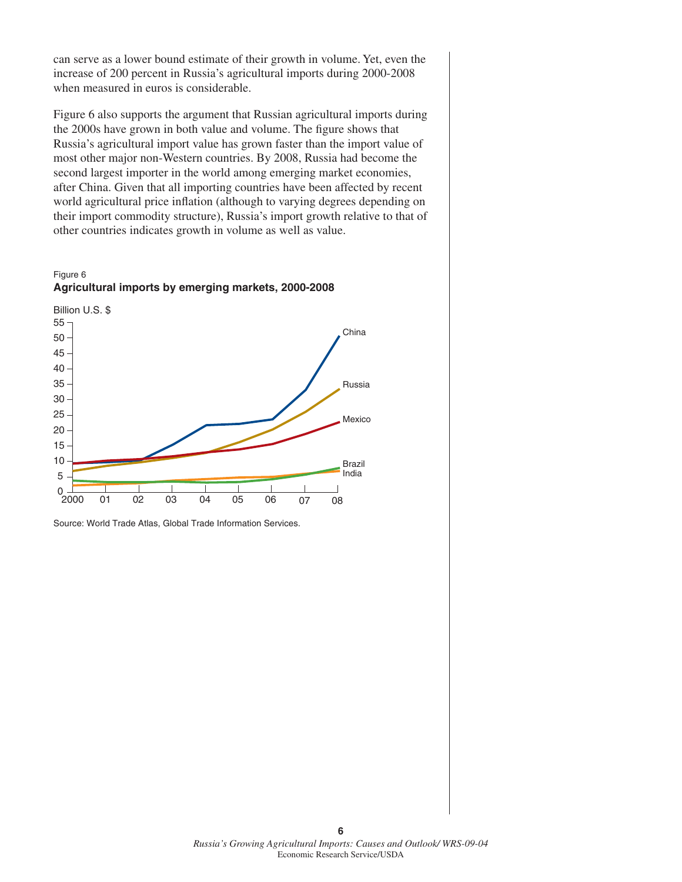can serve as a lower bound estimate of their growth in volume. Yet, even the increase of 200 percent in Russia's agricultural imports during 2000-2008 when measured in euros is considerable.

Figure 6 also supports the argument that Russian agricultural imports during the 2000s have grown in both value and volume. The figure shows that Russia's agricultural import value has grown faster than the import value of most other major non-Western countries. By 2008, Russia had become the second largest importer in the world among emerging market economies, after China. Given that all importing countries have been affected by recent world agricultural price inflation (although to varying degrees depending on their import commodity structure), Russia's import growth relative to that of other countries indicates growth in volume as well as value.





Source: World Trade Atlas, Global Trade Information Services.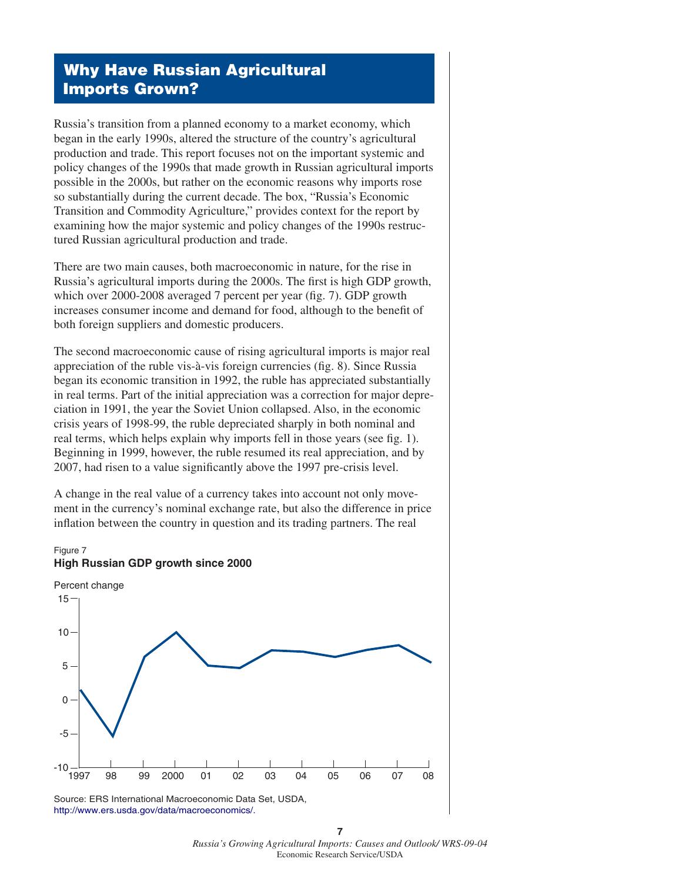# **Why Have Russian Agricultural Imports Grown?**

Russia's transition from a planned economy to a market economy, which began in the early 1990s, altered the structure of the country's agricultural production and trade. This report focuses not on the important systemic and policy changes of the 1990s that made growth in Russian agricultural imports possible in the 2000s, but rather on the economic reasons why imports rose so substantially during the current decade. The box, "Russia's Economic Transition and Commodity Agriculture," provides context for the report by examining how the major systemic and policy changes of the 1990s restructured Russian agricultural production and trade.

There are two main causes, both macroeconomic in nature, for the rise in Russia's agricultural imports during the 2000s. The first is high GDP growth, which over 2000-2008 averaged 7 percent per year (fig. 7). GDP growth increases consumer income and demand for food, although to the benefit of both foreign suppliers and domestic producers.

The second macroeconomic cause of rising agricultural imports is major real appreciation of the ruble vis-à-vis foreign currencies (fig. 8). Since Russia began its economic transition in 1992, the ruble has appreciated substantially in real terms. Part of the initial appreciation was a correction for major depreciation in 1991, the year the Soviet Union collapsed. Also, in the economic crisis years of 1998-99, the ruble depreciated sharply in both nominal and real terms, which helps explain why imports fell in those years (see fig. 1). Beginning in 1999, however, the ruble resumed its real appreciation, and by 2007, had risen to a value significantly above the 1997 pre-crisis level.

A change in the real value of a currency takes into account not only movement in the currency's nominal exchange rate, but also the difference in price inflation between the country in question and its trading partners. The real



Source: ERS International Macroeconomic Data Set, USDA, [http://www.ers.usda.gov/data/macroeconomics/.](http://www.ers.usda.gov/data/macroeconomics/)

**<sup>7</sup>** *Russia's Growing Agricultural Imports: Causes and Outlook/ WRS-09-04* Economic Research Service/USDA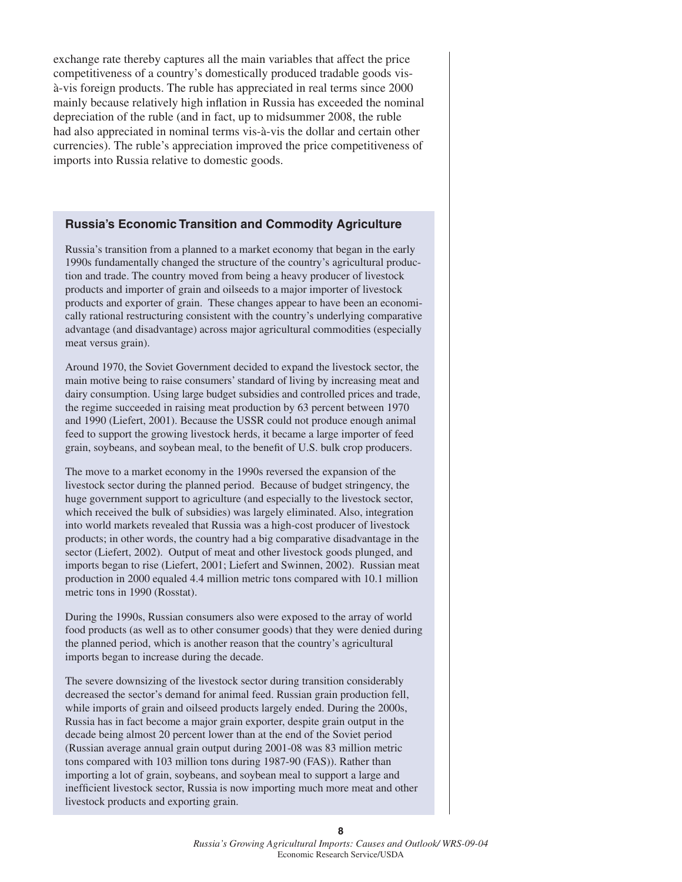exchange rate thereby captures all the main variables that affect the price competitiveness of a country's domestically produced tradable goods visà-vis foreign products. The ruble has appreciated in real terms since 2000 mainly because relatively high inflation in Russia has exceeded the nominal depreciation of the ruble (and in fact, up to midsummer 2008, the ruble had also appreciated in nominal terms vis-à-vis the dollar and certain other currencies). The ruble's appreciation improved the price competitiveness of imports into Russia relative to domestic goods.

#### **Russia's Economic Transition and Commodity Agriculture**

Russia's transition from a planned to a market economy that began in the early 1990s fundamentally changed the structure of the country's agricultural production and trade. The country moved from being a heavy producer of livestock products and importer of grain and oilseeds to a major importer of livestock products and exporter of grain. These changes appear to have been an economically rational restructuring consistent with the country's underlying comparative advantage (and disadvantage) across major agricultural commodities (especially meat versus grain).

Around 1970, the Soviet Government decided to expand the livestock sector, the main motive being to raise consumers' standard of living by increasing meat and dairy consumption. Using large budget subsidies and controlled prices and trade, the regime succeeded in raising meat production by 63 percent between 1970 and 1990 (Liefert, 2001). Because the USSR could not produce enough animal feed to support the growing livestock herds, it became a large importer of feed grain, soybeans, and soybean meal, to the benefit of U.S. bulk crop producers.

The move to a market economy in the 1990s reversed the expansion of the livestock sector during the planned period. Because of budget stringency, the huge government support to agriculture (and especially to the livestock sector, which received the bulk of subsidies) was largely eliminated. Also, integration into world markets revealed that Russia was a high-cost producer of livestock products; in other words, the country had a big comparative disadvantage in the sector (Liefert, 2002). Output of meat and other livestock goods plunged, and imports began to rise (Liefert, 2001; Liefert and Swinnen, 2002). Russian meat production in 2000 equaled 4.4 million metric tons compared with 10.1 million metric tons in 1990 (Rosstat).

During the 1990s, Russian consumers also were exposed to the array of world food products (as well as to other consumer goods) that they were denied during the planned period, which is another reason that the country's agricultural imports began to increase during the decade.

The severe downsizing of the livestock sector during transition considerably decreased the sector's demand for animal feed. Russian grain production fell, while imports of grain and oilseed products largely ended. During the 2000s, Russia has in fact become a major grain exporter, despite grain output in the decade being almost 20 percent lower than at the end of the Soviet period (Russian average annual grain output during 2001-08 was 83 million metric tons compared with 103 million tons during 1987-90 (FAS)). Rather than importing a lot of grain, soybeans, and soybean meal to support a large and inefficient livestock sector, Russia is now importing much more meat and other livestock products and exporting grain.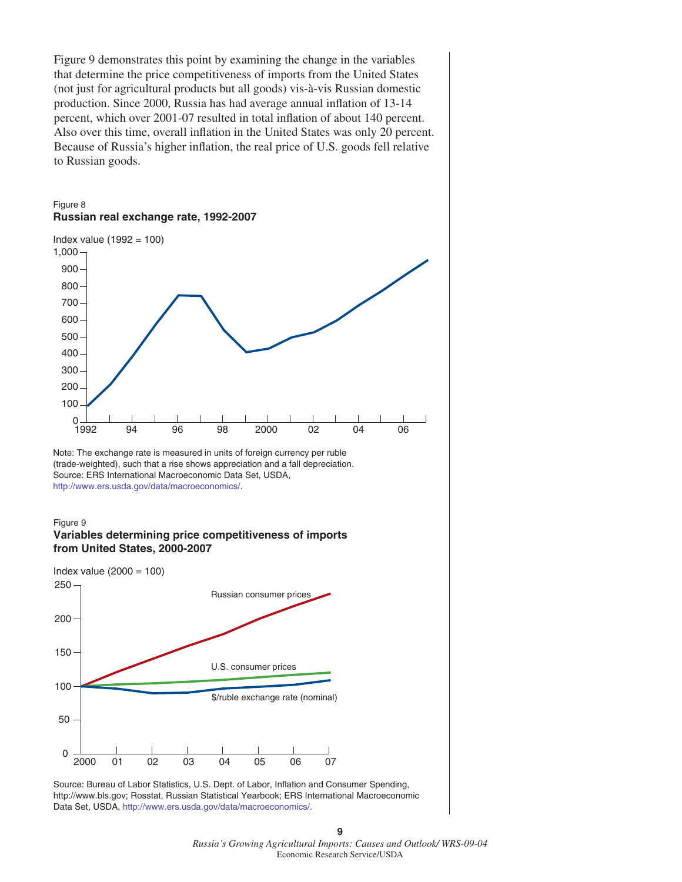Figure 9 demonstrates this point by examining the change in the variables that determine the price competitiveness of imports from the United States (not just for agricultural products but all goods) vis-à-vis Russian domestic production. Since 2000, Russia has had average annual inflation of 13-14 percent, which over 2001-07 resulted in total inflation of about 140 percent. Also over this time, overall inflation in the United States was only 20 percent. Because of Russia's higher inflation, the real price of U.S. goods fell relative to Russian goods.

#### Figure 8 **Russian real exchange rate, 1992-2007**



Note: The exchange rate is measured in units of foreign currency per ruble (trade-weighted), such that a rise shows appreciation and a fall depreciation. Source: ERS International Macroeconomic Data Set, USDA, [http://www.ers.usda.gov/data/macroeconomics/.](http://www.ers.usda.gov/data/macroeconomics/)

#### Figure 9 **Variables determining price competitiveness of imports from United States, 2000-2007**



Source: Bureau of Labor Statistics, U.S. Dept. of Labor, Inflation and Consumer Spending, http://www.bls.gov; Rosstat, Russian Statistical Yearbook; ERS International Macroeconomic Data Set, USDA, [http://www.ers.usda.gov/data/macroeconomics/.](http://www.ers.usda.gov/data/macroeconomics/)

**9** *Russia's Growing Agricultural Imports: Causes and Outlook/ WRS-09-04* Economic Research Service/USDA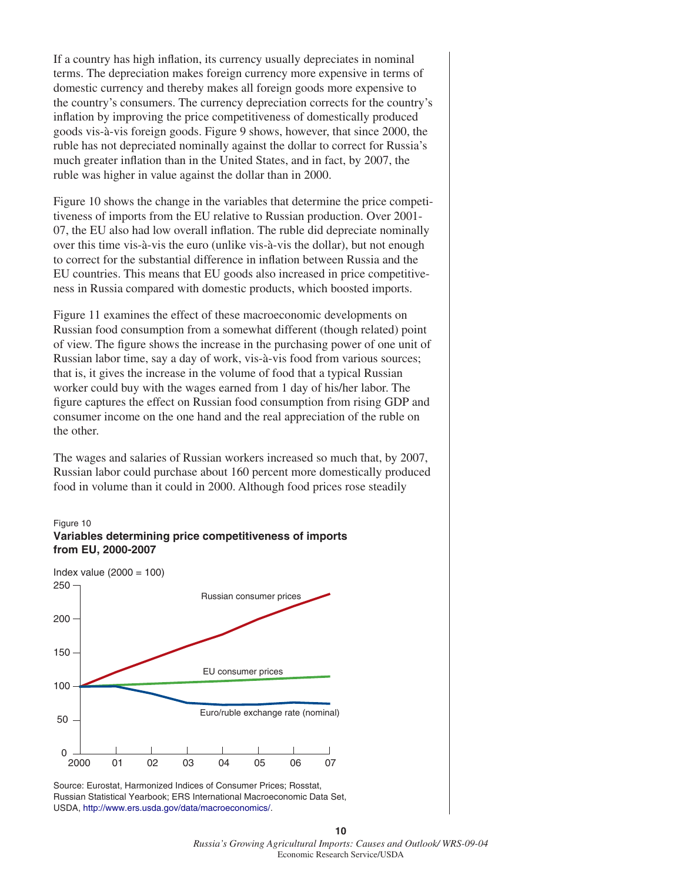If a country has high inflation, its currency usually depreciates in nominal terms. The depreciation makes foreign currency more expensive in terms of domestic currency and thereby makes all foreign goods more expensive to the country's consumers. The currency depreciation corrects for the country's inflation by improving the price competitiveness of domestically produced goods vis-à-vis foreign goods. Figure 9 shows, however, that since 2000, the ruble has not depreciated nominally against the dollar to correct for Russia's much greater inflation than in the United States, and in fact, by 2007, the ruble was higher in value against the dollar than in 2000.

Figure 10 shows the change in the variables that determine the price competitiveness of imports from the EU relative to Russian production. Over 2001- 07, the EU also had low overall inflation. The ruble did depreciate nominally over this time vis-à-vis the euro (unlike vis-à-vis the dollar), but not enough to correct for the substantial difference in inflation between Russia and the EU countries. This means that EU goods also increased in price competitiveness in Russia compared with domestic products, which boosted imports.

Figure 11 examines the effect of these macroeconomic developments on Russian food consumption from a somewhat different (though related) point of view. The figure shows the increase in the purchasing power of one unit of Russian labor time, say a day of work, vis-à-vis food from various sources; that is, it gives the increase in the volume of food that a typical Russian worker could buy with the wages earned from 1 day of his/her labor. The figure captures the effect on Russian food consumption from rising GDP and consumer income on the one hand and the real appreciation of the ruble on the other.

The wages and salaries of Russian workers increased so much that, by 2007, Russian labor could purchase about 160 percent more domestically produced food in volume than it could in 2000. Although food prices rose steadily



Source: Eurostat, Harmonized Indices of Consumer Prices; Rosstat, Russian Statistical Yearbook; ERS International Macroeconomic Data Set, USDA, [http://www.ers.usda.gov/data/macroeconomics/.](http://www.ers.usda.gov/data/macroeconomics/)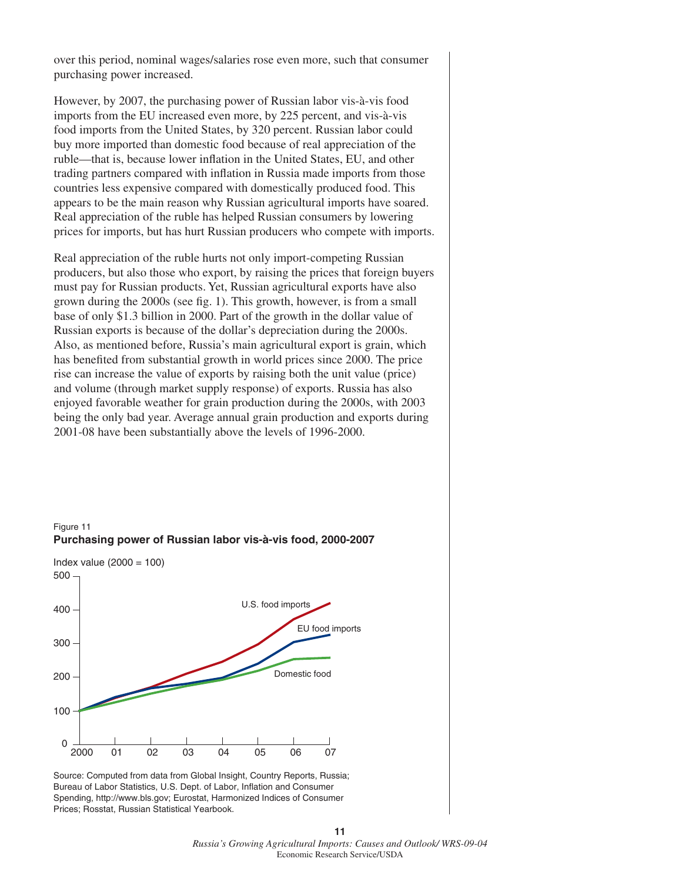over this period, nominal wages/salaries rose even more, such that consumer purchasing power increased.

However, by 2007, the purchasing power of Russian labor vis-à-vis food imports from the EU increased even more, by 225 percent, and vis-à-vis food imports from the United States, by 320 percent. Russian labor could buy more imported than domestic food because of real appreciation of the ruble—that is, because lower inflation in the United States, EU, and other trading partners compared with inflation in Russia made imports from those countries less expensive compared with domestically produced food. This appears to be the main reason why Russian agricultural imports have soared. Real appreciation of the ruble has helped Russian consumers by lowering prices for imports, but has hurt Russian producers who compete with imports.

Real appreciation of the ruble hurts not only import-competing Russian producers, but also those who export, by raising the prices that foreign buyers must pay for Russian products. Yet, Russian agricultural exports have also grown during the 2000s (see fig. 1). This growth, however, is from a small base of only \$1.3 billion in 2000. Part of the growth in the dollar value of Russian exports is because of the dollar's depreciation during the 2000s. Also, as mentioned before, Russia's main agricultural export is grain, which has benefited from substantial growth in world prices since 2000. The price rise can increase the value of exports by raising both the unit value (price) and volume (through market supply response) of exports. Russia has also enjoyed favorable weather for grain production during the 2000s, with 2003 being the only bad year. Average annual grain production and exports during 2001-08 have been substantially above the levels of 1996-2000.



Source: Computed from data from Global Insight, Country Reports, Russia; Bureau of Labor Statistics, U.S. Dept. of Labor, Inflation and Consumer Spending, http://www.bls.gov; Eurostat, Harmonized Indices of Consumer Prices; Rosstat, Russian Statistical Yearbook.



#### Figure 11 **Purchasing power of Russian labor vis-à-vis food, 2000-2007**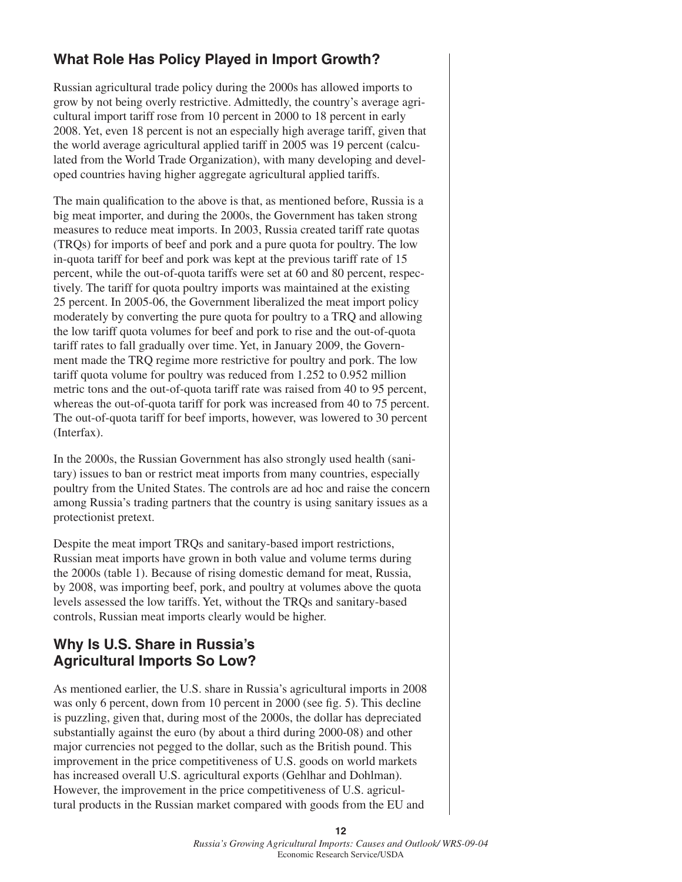# **What Role Has Policy Played in Import Growth?**

Russian agricultural trade policy during the 2000s has allowed imports to grow by not being overly restrictive. Admittedly, the country's average agricultural import tariff rose from 10 percent in 2000 to 18 percent in early 2008. Yet, even 18 percent is not an especially high average tariff, given that the world average agricultural applied tariff in 2005 was 19 percent (calculated from the World Trade Organization), with many developing and developed countries having higher aggregate agricultural applied tariffs.

The main qualification to the above is that, as mentioned before, Russia is a big meat importer, and during the 2000s, the Government has taken strong measures to reduce meat imports. In 2003, Russia created tariff rate quotas (TRQs) for imports of beef and pork and a pure quota for poultry. The low in-quota tariff for beef and pork was kept at the previous tariff rate of 15 percent, while the out-of-quota tariffs were set at 60 and 80 percent, respectively. The tariff for quota poultry imports was maintained at the existing 25 percent. In 2005-06, the Government liberalized the meat import policy moderately by converting the pure quota for poultry to a TRQ and allowing the low tariff quota volumes for beef and pork to rise and the out-of-quota tariff rates to fall gradually over time. Yet, in January 2009, the Government made the TRQ regime more restrictive for poultry and pork. The low tariff quota volume for poultry was reduced from 1.252 to 0.952 million metric tons and the out-of-quota tariff rate was raised from 40 to 95 percent, whereas the out-of-quota tariff for pork was increased from 40 to 75 percent. The out-of-quota tariff for beef imports, however, was lowered to 30 percent (Interfax).

In the 2000s, the Russian Government has also strongly used health (sanitary) issues to ban or restrict meat imports from many countries, especially poultry from the United States. The controls are ad hoc and raise the concern among Russia's trading partners that the country is using sanitary issues as a protectionist pretext.

Despite the meat import TRQs and sanitary-based import restrictions, Russian meat imports have grown in both value and volume terms during the 2000s (table 1). Because of rising domestic demand for meat, Russia, by 2008, was importing beef, pork, and poultry at volumes above the quota levels assessed the low tariffs. Yet, without the TRQs and sanitary-based controls, Russian meat imports clearly would be higher.

## **Why Is U.S. Share in Russia's Agricultural Imports So Low?**

As mentioned earlier, the U.S. share in Russia's agricultural imports in 2008 was only 6 percent, down from 10 percent in 2000 (see fig. 5). This decline is puzzling, given that, during most of the 2000s, the dollar has depreciated substantially against the euro (by about a third during 2000-08) and other major currencies not pegged to the dollar, such as the British pound. This improvement in the price competitiveness of U.S. goods on world markets has increased overall U.S. agricultural exports (Gehlhar and Dohlman). However, the improvement in the price competitiveness of U.S. agricultural products in the Russian market compared with goods from the EU and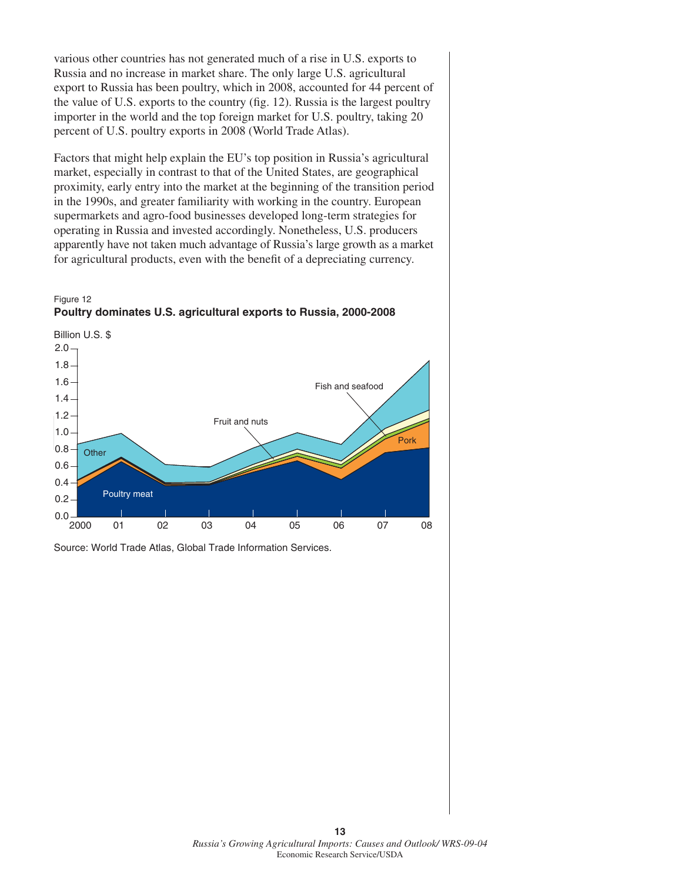various other countries has not generated much of a rise in U.S. exports to Russia and no increase in market share. The only large U.S. agricultural export to Russia has been poultry, which in 2008, accounted for 44 percent of the value of U.S. exports to the country (fig. 12). Russia is the largest poultry importer in the world and the top foreign market for U.S. poultry, taking 20 percent of U.S. poultry exports in 2008 (World Trade Atlas).

Factors that might help explain the EU's top position in Russia's agricultural market, especially in contrast to that of the United States, are geographical proximity, early entry into the market at the beginning of the transition period in the 1990s, and greater familiarity with working in the country. European supermarkets and agro-food businesses developed long-term strategies for operating in Russia and invested accordingly. Nonetheless, U.S. producers apparently have not taken much advantage of Russia's large growth as a market for agricultural products, even with the benefit of a depreciating currency.





Source: World Trade Atlas, Global Trade Information Services.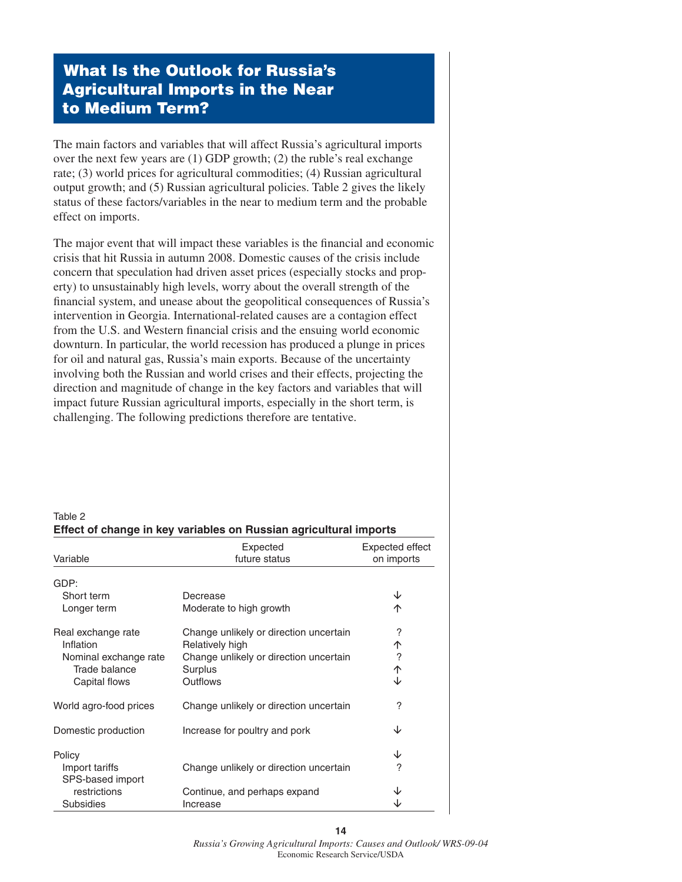# **What Is the Outlook for Russia's Agricultural Imports in the Near to Medium Term?**

The main factors and variables that will affect Russia's agricultural imports over the next few years are (1) GDP growth; (2) the ruble's real exchange rate; (3) world prices for agricultural commodities; (4) Russian agricultural output growth; and (5) Russian agricultural policies. Table 2 gives the likely status of these factors/variables in the near to medium term and the probable effect on imports.

The major event that will impact these variables is the financial and economic crisis that hit Russia in autumn 2008. Domestic causes of the crisis include concern that speculation had driven asset prices (especially stocks and property) to unsustainably high levels, worry about the overall strength of the financial system, and unease about the geopolitical consequences of Russia's intervention in Georgia. International-related causes are a contagion effect from the U.S. and Western financial crisis and the ensuing world economic downturn. In particular, the world recession has produced a plunge in prices for oil and natural gas, Russia's main exports. Because of the uncertainty involving both the Russian and world crises and their effects, projecting the direction and magnitude of change in the key factors and variables that will impact future Russian agricultural imports, especially in the short term, is challenging. The following predictions therefore are tentative.

| Table 2                                                           |  |
|-------------------------------------------------------------------|--|
| Effect of change in key variables on Russian agricultural imports |  |

| Variable                           | Expected<br>future status              | Expected effect<br>on imports |
|------------------------------------|----------------------------------------|-------------------------------|
| GDP:                               |                                        |                               |
| Short term                         | Decrease                               | ↓                             |
| Longer term                        | Moderate to high growth                | 个                             |
| Real exchange rate                 | Change unlikely or direction uncertain | ?                             |
| Inflation                          | Relatively high                        | 个                             |
| Nominal exchange rate              | Change unlikely or direction uncertain | $\overline{\phantom{a}}$      |
| Trade balance                      | Surplus                                | 个                             |
| Capital flows                      | Outflows                               | ↓                             |
| World agro-food prices             | Change unlikely or direction uncertain | ?                             |
| Domestic production                | Increase for poultry and pork          | ↓                             |
| Policy                             |                                        | ↓                             |
| Import tariffs<br>SPS-based import | Change unlikely or direction uncertain | ?                             |
| restrictions                       | Continue, and perhaps expand           |                               |
| <b>Subsidies</b>                   | Increase                               |                               |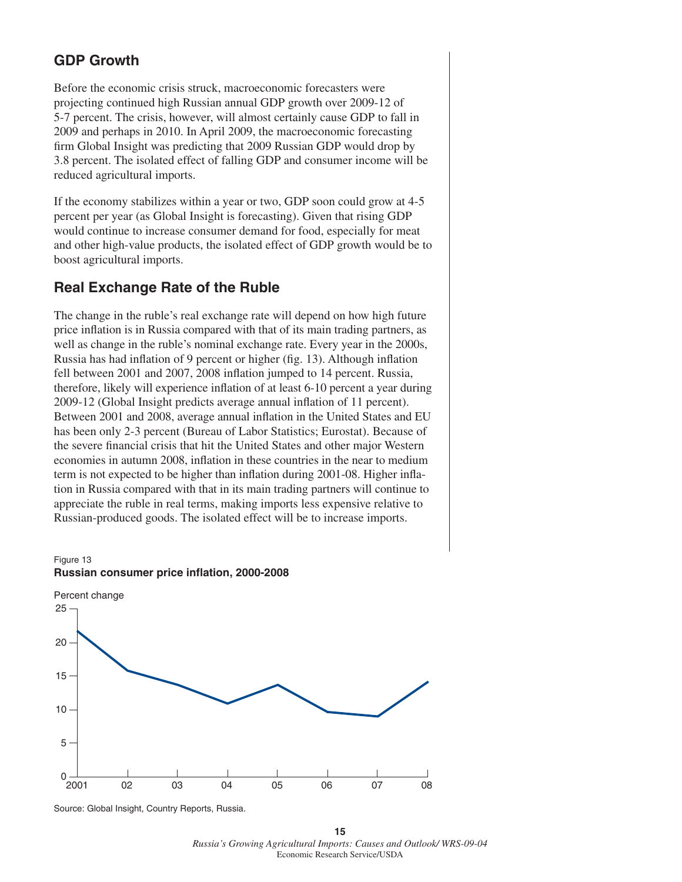### **GDP Growth**

Before the economic crisis struck, macroeconomic forecasters were projecting continued high Russian annual GDP growth over 2009-12 of 5-7 percent. The crisis, however, will almost certainly cause GDP to fall in 2009 and perhaps in 2010. In April 2009, the macroeconomic forecasting firm Global Insight was predicting that 2009 Russian GDP would drop by 3.8 percent. The isolated effect of falling GDP and consumer income will be reduced agricultural imports.

If the economy stabilizes within a year or two, GDP soon could grow at 4-5 percent per year (as Global Insight is forecasting). Given that rising GDP would continue to increase consumer demand for food, especially for meat and other high-value products, the isolated effect of GDP growth would be to boost agricultural imports.

### **Real Exchange Rate of the Ruble**

The change in the ruble's real exchange rate will depend on how high future price inflation is in Russia compared with that of its main trading partners, as well as change in the ruble's nominal exchange rate. Every year in the 2000s, Russia has had inflation of 9 percent or higher (fig. 13). Although inflation fell between 2001 and 2007, 2008 inflation jumped to 14 percent. Russia, therefore, likely will experience inflation of at least 6-10 percent a year during 2009-12 (Global Insight predicts average annual inflation of 11 percent). Between 2001 and 2008, average annual inflation in the United States and EU has been only 2-3 percent (Bureau of Labor Statistics; Eurostat). Because of the severe financial crisis that hit the United States and other major Western economies in autumn 2008, inflation in these countries in the near to medium term is not expected to be higher than inflation during 2001-08. Higher inflation in Russia compared with that in its main trading partners will continue to appreciate the ruble in real terms, making imports less expensive relative to Russian-produced goods. The isolated effect will be to increase imports.

Figure 13 **Russian consumer price inflation, 2000-2008**



Source: Global Insight, Country Reports, Russia.

**<sup>15</sup>** *Russia's Growing Agricultural Imports: Causes and Outlook/ WRS-09-04* Economic Research Service/USDA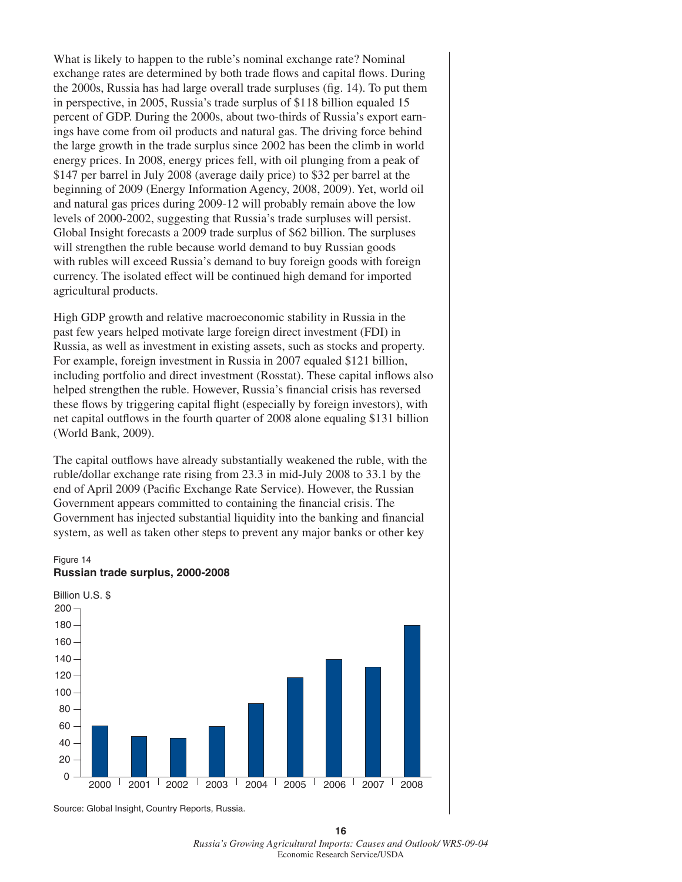What is likely to happen to the ruble's nominal exchange rate? Nominal exchange rates are determined by both trade flows and capital flows. During the 2000s, Russia has had large overall trade surpluses (fig. 14). To put them in perspective, in 2005, Russia's trade surplus of \$118 billion equaled 15 percent of GDP. During the 2000s, about two-thirds of Russia's export earnings have come from oil products and natural gas. The driving force behind the large growth in the trade surplus since 2002 has been the climb in world energy prices. In 2008, energy prices fell, with oil plunging from a peak of \$147 per barrel in July 2008 (average daily price) to \$32 per barrel at the beginning of 2009 (Energy Information Agency, 2008, 2009). Yet, world oil and natural gas prices during 2009-12 will probably remain above the low levels of 2000-2002, suggesting that Russia's trade surpluses will persist. Global Insight forecasts a 2009 trade surplus of \$62 billion. The surpluses will strengthen the ruble because world demand to buy Russian goods with rubles will exceed Russia's demand to buy foreign goods with foreign currency. The isolated effect will be continued high demand for imported agricultural products.

High GDP growth and relative macroeconomic stability in Russia in the past few years helped motivate large foreign direct investment (FDI) in Russia, as well as investment in existing assets, such as stocks and property. For example, foreign investment in Russia in 2007 equaled \$121 billion, including portfolio and direct investment (Rosstat). These capital inflows also helped strengthen the ruble. However, Russia's financial crisis has reversed these flows by triggering capital flight (especially by foreign investors), with net capital outflows in the fourth quarter of 2008 alone equaling \$131 billion (World Bank, 2009).

The capital outflows have already substantially weakened the ruble, with the ruble/dollar exchange rate rising from 23.3 in mid-July 2008 to 33.1 by the end of April 2009 (Pacific Exchange Rate Service). However, the Russian Government appears committed to containing the financial crisis. The Government has injected substantial liquidity into the banking and financial system, as well as taken other steps to prevent any major banks or other key

#### Figure 14 **Russian trade surplus, 2000-2008**



Source: Global Insight, Country Reports, Russia.

**<sup>16</sup>** *Russia's Growing Agricultural Imports: Causes and Outlook/ WRS-09-04* Economic Research Service/USDA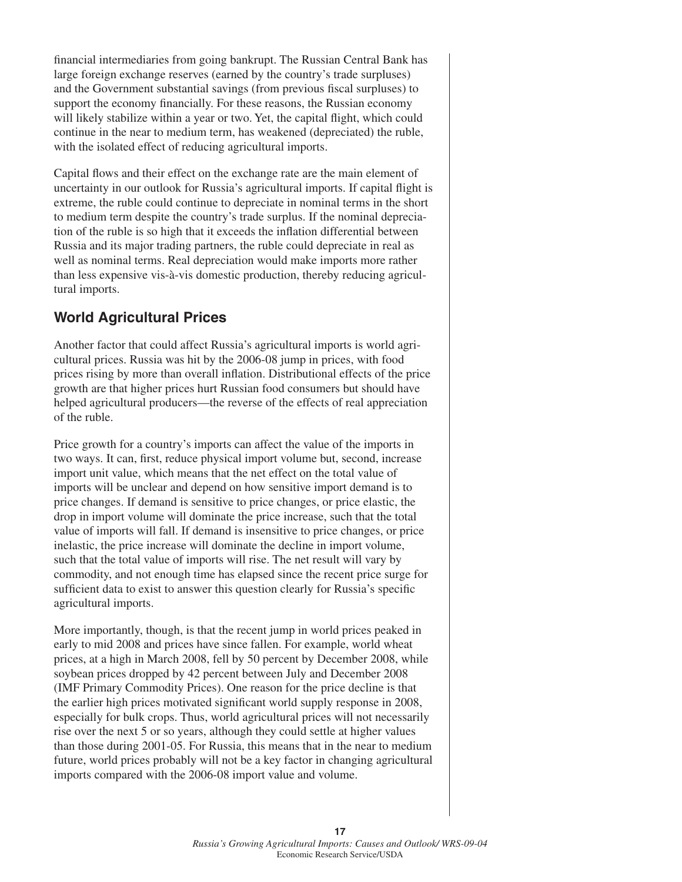financial intermediaries from going bankrupt. The Russian Central Bank has large foreign exchange reserves (earned by the country's trade surpluses) and the Government substantial savings (from previous fiscal surpluses) to support the economy financially. For these reasons, the Russian economy will likely stabilize within a year or two. Yet, the capital flight, which could continue in the near to medium term, has weakened (depreciated) the ruble, with the isolated effect of reducing agricultural imports.

Capital flows and their effect on the exchange rate are the main element of uncertainty in our outlook for Russia's agricultural imports. If capital flight is extreme, the ruble could continue to depreciate in nominal terms in the short to medium term despite the country's trade surplus. If the nominal depreciation of the ruble is so high that it exceeds the inflation differential between Russia and its major trading partners, the ruble could depreciate in real as well as nominal terms. Real depreciation would make imports more rather than less expensive vis-à-vis domestic production, thereby reducing agricultural imports.

### **World Agricultural Prices**

Another factor that could affect Russia's agricultural imports is world agricultural prices. Russia was hit by the 2006-08 jump in prices, with food prices rising by more than overall inflation. Distributional effects of the price growth are that higher prices hurt Russian food consumers but should have helped agricultural producers—the reverse of the effects of real appreciation of the ruble.

Price growth for a country's imports can affect the value of the imports in two ways. It can, first, reduce physical import volume but, second, increase import unit value, which means that the net effect on the total value of imports will be unclear and depend on how sensitive import demand is to price changes. If demand is sensitive to price changes, or price elastic, the drop in import volume will dominate the price increase, such that the total value of imports will fall. If demand is insensitive to price changes, or price inelastic, the price increase will dominate the decline in import volume, such that the total value of imports will rise. The net result will vary by commodity, and not enough time has elapsed since the recent price surge for sufficient data to exist to answer this question clearly for Russia's specific agricultural imports.

More importantly, though, is that the recent jump in world prices peaked in early to mid 2008 and prices have since fallen. For example, world wheat prices, at a high in March 2008, fell by 50 percent by December 2008, while soybean prices dropped by 42 percent between July and December 2008 (IMF Primary Commodity Prices). One reason for the price decline is that the earlier high prices motivated significant world supply response in 2008, especially for bulk crops. Thus, world agricultural prices will not necessarily rise over the next 5 or so years, although they could settle at higher values than those during 2001-05. For Russia, this means that in the near to medium future, world prices probably will not be a key factor in changing agricultural imports compared with the 2006-08 import value and volume.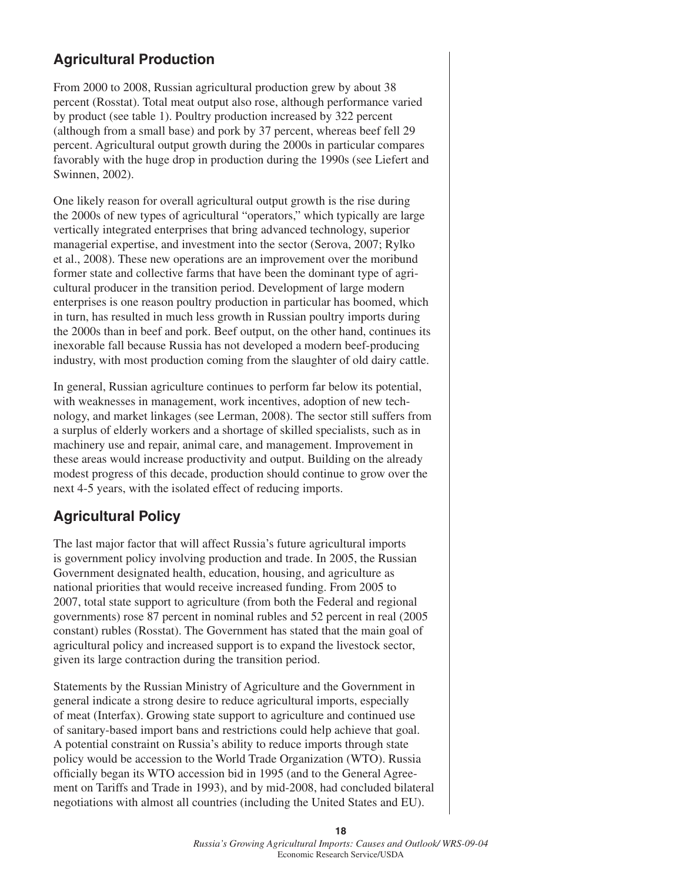# **Agricultural Production**

From 2000 to 2008, Russian agricultural production grew by about 38 percent (Rosstat). Total meat output also rose, although performance varied by product (see table 1). Poultry production increased by 322 percent (although from a small base) and pork by 37 percent, whereas beef fell 29 percent. Agricultural output growth during the 2000s in particular compares favorably with the huge drop in production during the 1990s (see Liefert and Swinnen, 2002).

One likely reason for overall agricultural output growth is the rise during the 2000s of new types of agricultural "operators," which typically are large vertically integrated enterprises that bring advanced technology, superior managerial expertise, and investment into the sector (Serova, 2007; Rylko et al., 2008). These new operations are an improvement over the moribund former state and collective farms that have been the dominant type of agricultural producer in the transition period. Development of large modern enterprises is one reason poultry production in particular has boomed, which in turn, has resulted in much less growth in Russian poultry imports during the 2000s than in beef and pork. Beef output, on the other hand, continues its inexorable fall because Russia has not developed a modern beef-producing industry, with most production coming from the slaughter of old dairy cattle.

In general, Russian agriculture continues to perform far below its potential, with weaknesses in management, work incentives, adoption of new technology, and market linkages (see Lerman, 2008). The sector still suffers from a surplus of elderly workers and a shortage of skilled specialists, such as in machinery use and repair, animal care, and management. Improvement in these areas would increase productivity and output. Building on the already modest progress of this decade, production should continue to grow over the next 4-5 years, with the isolated effect of reducing imports.

### **Agricultural Policy**

The last major factor that will affect Russia's future agricultural imports is government policy involving production and trade. In 2005, the Russian Government designated health, education, housing, and agriculture as national priorities that would receive increased funding. From 2005 to 2007, total state support to agriculture (from both the Federal and regional governments) rose 87 percent in nominal rubles and 52 percent in real (2005 constant) rubles (Rosstat). The Government has stated that the main goal of agricultural policy and increased support is to expand the livestock sector, given its large contraction during the transition period.

Statements by the Russian Ministry of Agriculture and the Government in general indicate a strong desire to reduce agricultural imports, especially of meat (Interfax). Growing state support to agriculture and continued use of sanitary-based import bans and restrictions could help achieve that goal. A potential constraint on Russia's ability to reduce imports through state policy would be accession to the World Trade Organization (WTO). Russia officially began its WTO accession bid in 1995 (and to the General Agreement on Tariffs and Trade in 1993), and by mid-2008, had concluded bilateral negotiations with almost all countries (including the United States and EU).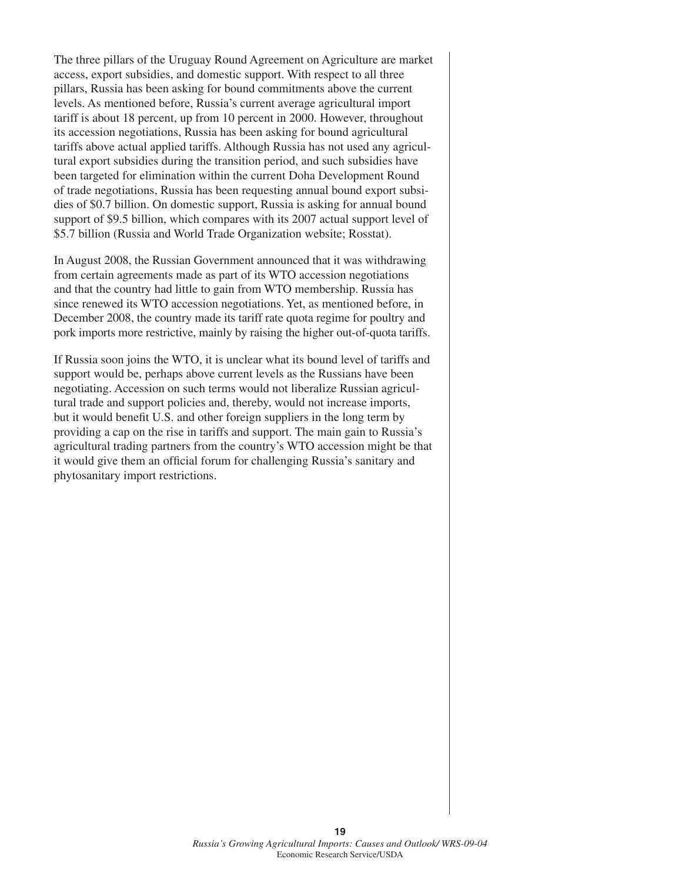The three pillars of the Uruguay Round Agreement on Agriculture are market access, export subsidies, and domestic support. With respect to all three pillars, Russia has been asking for bound commitments above the current levels. As mentioned before, Russia's current average agricultural import tariff is about 18 percent, up from 10 percent in 2000. However, throughout its accession negotiations, Russia has been asking for bound agricultural tariffs above actual applied tariffs. Although Russia has not used any agricultural export subsidies during the transition period, and such subsidies have been targeted for elimination within the current Doha Development Round of trade negotiations, Russia has been requesting annual bound export subsidies of \$0.7 billion. On domestic support, Russia is asking for annual bound support of \$9.5 billion, which compares with its 2007 actual support level of \$5.7 billion (Russia and World Trade Organization website; Rosstat).

In August 2008, the Russian Government announced that it was withdrawing from certain agreements made as part of its WTO accession negotiations and that the country had little to gain from WTO membership. Russia has since renewed its WTO accession negotiations. Yet, as mentioned before, in December 2008, the country made its tariff rate quota regime for poultry and pork imports more restrictive, mainly by raising the higher out-of-quota tariffs.

If Russia soon joins the WTO, it is unclear what its bound level of tariffs and support would be, perhaps above current levels as the Russians have been negotiating. Accession on such terms would not liberalize Russian agricultural trade and support policies and, thereby, would not increase imports, but it would benefit U.S. and other foreign suppliers in the long term by providing a cap on the rise in tariffs and support. The main gain to Russia's agricultural trading partners from the country's WTO accession might be that it would give them an official forum for challenging Russia's sanitary and phytosanitary import restrictions.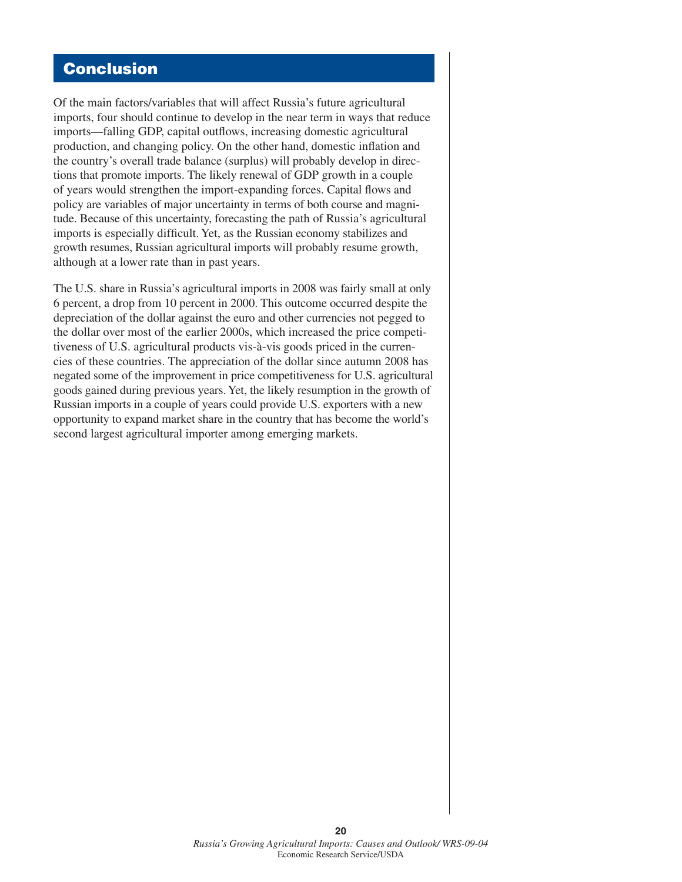# **Conclusion**

Of the main factors/variables that will affect Russia's future agricultural imports, four should continue to develop in the near term in ways that reduce imports—falling GDP, capital outflows, increasing domestic agricultural production, and changing policy. On the other hand, domestic inflation and the country's overall trade balance (surplus) will probably develop in directions that promote imports. The likely renewal of GDP growth in a couple of years would strengthen the import-expanding forces. Capital flows and policy are variables of major uncertainty in terms of both course and magnitude. Because of this uncertainty, forecasting the path of Russia's agricultural imports is especially difficult. Yet, as the Russian economy stabilizes and growth resumes, Russian agricultural imports will probably resume growth, although at a lower rate than in past years.

The U.S. share in Russia's agricultural imports in 2008 was fairly small at only 6 percent, a drop from 10 percent in 2000. This outcome occurred despite the depreciation of the dollar against the euro and other currencies not pegged to the dollar over most of the earlier 2000s, which increased the price competitiveness of U.S. agricultural products vis-à-vis goods priced in the currencies of these countries. The appreciation of the dollar since autumn 2008 has negated some of the improvement in price competitiveness for U.S. agricultural goods gained during previous years. Yet, the likely resumption in the growth of Russian imports in a couple of years could provide U.S. exporters with a new opportunity to expand market share in the country that has become the world's second largest agricultural importer among emerging markets.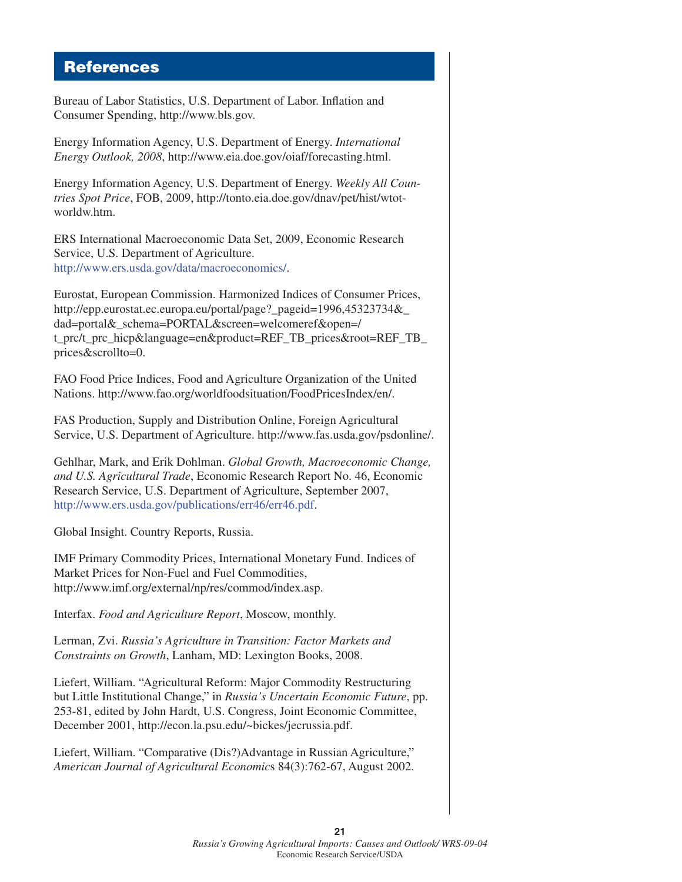### **References**

Bureau of Labor Statistics, U.S. Department of Labor. Inflation and Consumer Spending, http://www.bls.gov.

Energy Information Agency, U.S. Department of Energy. *International Energy Outlook, 2008*, http://www.eia.doe.gov/oiaf/forecasting.html.

Energy Information Agency, U.S. Department of Energy. *Weekly All Countries Spot Price*, FOB, 2009, http://tonto.eia.doe.gov/dnav/pet/hist/wtotworldw.htm.

ERS International Macroeconomic Data Set, 2009, Economic Research Service, U.S. Department of Agriculture. [http://www.ers.usda.gov/data/macroeconomics/.](http://www.ers.usda.gov/data/macroeconomics/)

Eurostat, European Commission. Harmonized Indices of Consumer Prices, http://epp.eurostat.ec.europa.eu/portal/page?\_pageid=1996,45323734&\_ dad=portal&\_schema=PORTAL&screen=welcomeref&open=/ t\_prc/t\_prc\_hicp&language=en&product=REF\_TB\_prices&root=REF\_TB\_ prices&scrollto=0.

FAO Food Price Indices, Food and Agriculture Organization of the United Nations. http://www.fao.org/worldfoodsituation/FoodPricesIndex/en/.

FAS Production, Supply and Distribution Online, Foreign Agricultural Service, U.S. Department of Agriculture. http://www.fas.usda.gov/psdonline/.

Gehlhar, Mark, and Erik Dohlman. *Global Growth, Macroeconomic Change, and U.S. Agricultural Trade*, Economic Research Report No. 46, Economic Research Service, U.S. Department of Agriculture, September 2007, [http://www.ers.usda.gov/publications/err46/err46.pdf.](http://www.ers.usda.gov/publications/err46/err46.pdf)

Global Insight. Country Reports, Russia.

IMF Primary Commodity Prices, International Monetary Fund. Indices of Market Prices for Non-Fuel and Fuel Commodities, http://www.imf.org/external/np/res/commod/index.asp.

Interfax. *Food and Agriculture Report*, Moscow, monthly.

Lerman, Zvi. *Russia's Agriculture in Transition: Factor Markets and Constraints on Growth*, Lanham, MD: Lexington Books, 2008.

Liefert, William. "Agricultural Reform: Major Commodity Restructuring but Little Institutional Change," in *Russia's Uncertain Economic Future*, pp. 253-81, edited by John Hardt, U.S. Congress, Joint Economic Committee, December 2001, http://econ.la.psu.edu/~bickes/jecrussia.pdf.

Liefert, William. "Comparative (Dis?)Advantage in Russian Agriculture," *American Journal of Agricultural Economic*s 84(3):762-67, August 2002.